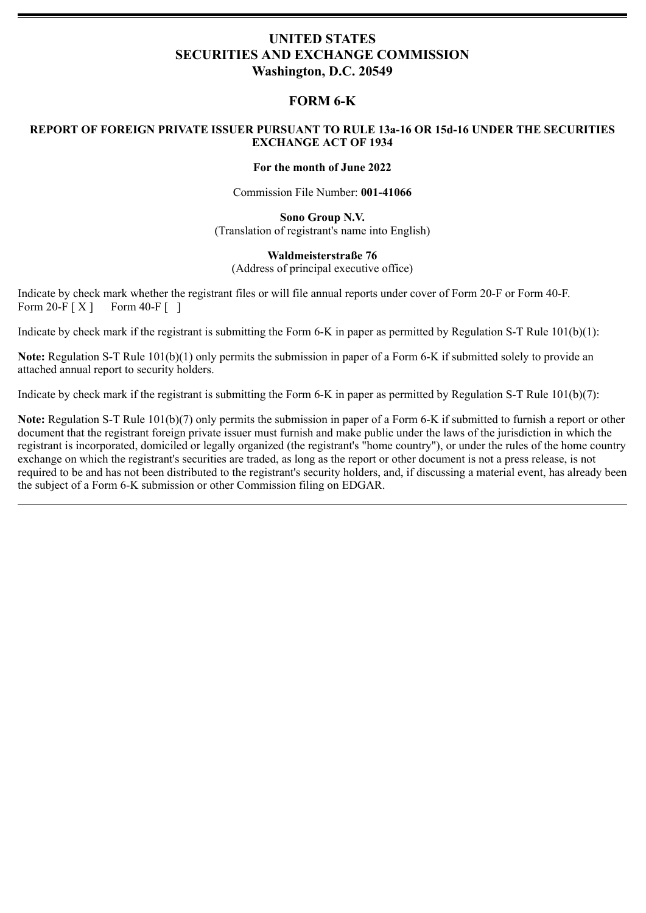# **UNITED STATES SECURITIES AND EXCHANGE COMMISSION Washington, D.C. 20549**

## **FORM 6-K**

## **REPORT OF FOREIGN PRIVATE ISSUER PURSUANT TO RULE 13a-16 OR 15d-16 UNDER THE SECURITIES EXCHANGE ACT OF 1934**

### **For the month of June 2022**

Commission File Number: **001-41066**

**Sono Group N.V.** (Translation of registrant's name into English)

### **Waldmeisterstraße 76**

(Address of principal executive office)

Indicate by check mark whether the registrant files or will file annual reports under cover of Form 20-F or Form 40-F. Form  $20-F[X]$  Form  $40-F$  [ ]

Indicate by check mark if the registrant is submitting the Form 6-K in paper as permitted by Regulation S-T Rule 101(b)(1):

**Note:** Regulation S-T Rule 101(b)(1) only permits the submission in paper of a Form 6-K if submitted solely to provide an attached annual report to security holders.

Indicate by check mark if the registrant is submitting the Form 6-K in paper as permitted by Regulation S-T Rule 101(b)(7):

**Note:** Regulation S-T Rule 101(b)(7) only permits the submission in paper of a Form 6-K if submitted to furnish a report or other document that the registrant foreign private issuer must furnish and make public under the laws of the jurisdiction in which the registrant is incorporated, domiciled or legally organized (the registrant's "home country"), or under the rules of the home country exchange on which the registrant's securities are traded, as long as the report or other document is not a press release, is not required to be and has not been distributed to the registrant's security holders, and, if discussing a material event, has already been the subject of a Form 6-K submission or other Commission filing on EDGAR.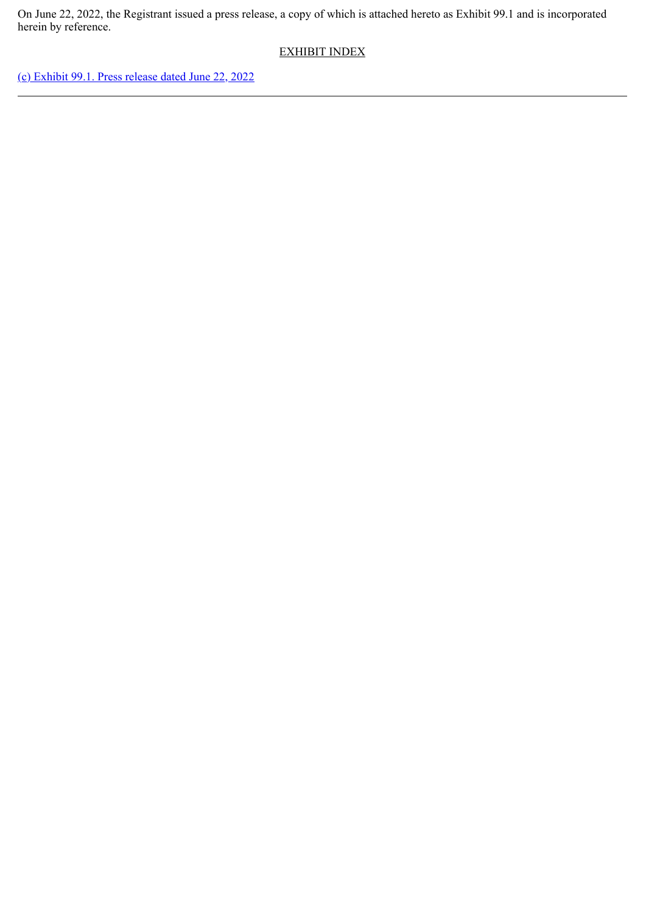On June 22, 2022, the Registrant issued a press release, a copy of which is attached hereto as Exhibit 99.1 and is incorporated herein by reference.

## EXHIBIT INDEX

[\(c\) Exhibit 99.1. Press release dated June 22, 2022](#page-3-0)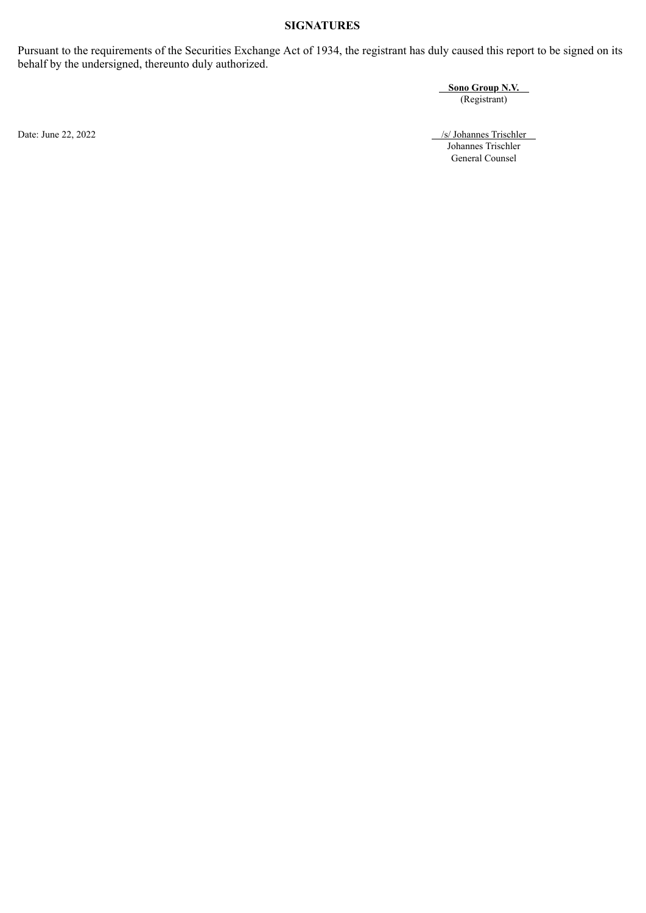## **SIGNATURES**

Pursuant to the requirements of the Securities Exchange Act of 1934, the registrant has duly caused this report to be signed on its behalf by the undersigned, thereunto duly authorized.

#### **Sono Group N.V.** (Registrant)

Date: June 22, 2022 /s/ Johannes Trischler Johannes Trischler General Counsel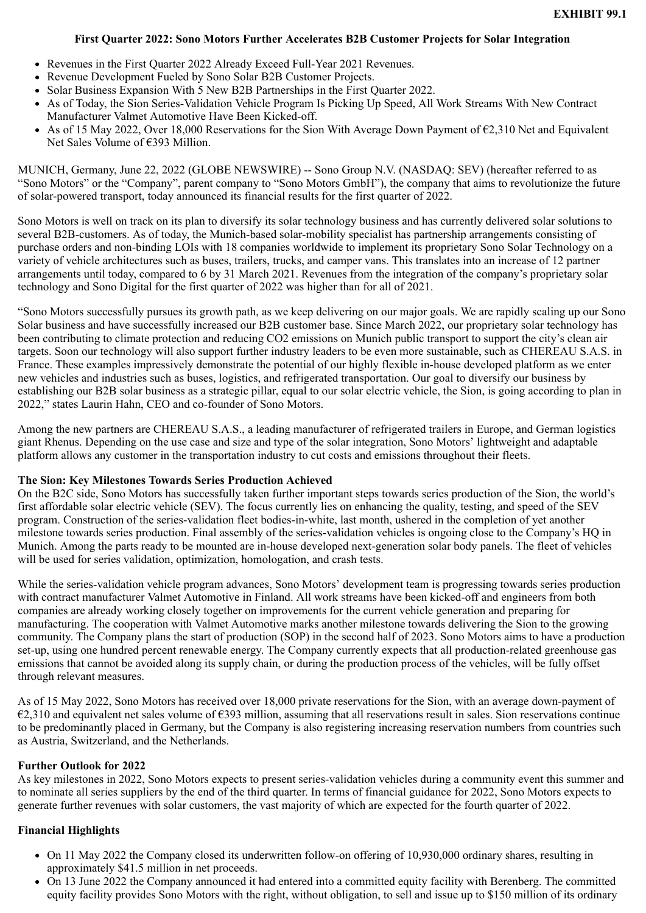#### **First Quarter 2022: Sono Motors Further Accelerates B2B Customer Projects for Solar Integration**

- <span id="page-3-0"></span>Revenues in the First Quarter 2022 Already Exceed Full-Year 2021 Revenues.
- Revenue Development Fueled by Sono Solar B2B Customer Projects.
- Solar Business Expansion With 5 New B2B Partnerships in the First Quarter 2022.
- As of Today, the Sion Series-Validation Vehicle Program Is Picking Up Speed, All Work Streams With New Contract Manufacturer Valmet Automotive Have Been Kicked-off.
- As of 15 May 2022, Over 18,000 Reservations for the Sion With Average Down Payment of  $\epsilon$ 2,310 Net and Equivalent Net Sales Volume of €393 Million.

MUNICH, Germany, June 22, 2022 (GLOBE NEWSWIRE) -- Sono Group N.V. (NASDAQ: SEV) (hereafter referred to as "Sono Motors" or the "Company", parent company to "Sono Motors GmbH"), the company that aims to revolutionize the future of solar-powered transport, today announced its financial results for the first quarter of 2022.

Sono Motors is well on track on its plan to diversify its solar technology business and has currently delivered solar solutions to several B2B-customers. As of today, the Munich-based solar-mobility specialist has partnership arrangements consisting of purchase orders and non-binding LOIs with 18 companies worldwide to implement its proprietary Sono Solar Technology on a variety of vehicle architectures such as buses, trailers, trucks, and camper vans. This translates into an increase of 12 partner arrangements until today, compared to 6 by 31 March 2021. Revenues from the integration of the company's proprietary solar technology and Sono Digital for the first quarter of 2022 was higher than for all of 2021.

"Sono Motors successfully pursues its growth path, as we keep delivering on our major goals. We are rapidly scaling up our Sono Solar business and have successfully increased our B2B customer base. Since March 2022, our proprietary solar technology has been contributing to climate protection and reducing CO2 emissions on Munich public transport to support the city's clean air targets. Soon our technology will also support further industry leaders to be even more sustainable, such as CHEREAU S.A.S. in France. These examples impressively demonstrate the potential of our highly flexible in-house developed platform as we enter new vehicles and industries such as buses, logistics, and refrigerated transportation. Our goal to diversify our business by establishing our B2B solar business as a strategic pillar, equal to our solar electric vehicle, the Sion, is going according to plan in 2022," states Laurin Hahn, CEO and co-founder of Sono Motors.

Among the new partners are CHEREAU S.A.S., a leading manufacturer of refrigerated trailers in Europe, and German logistics giant Rhenus. Depending on the use case and size and type of the solar integration, Sono Motors' lightweight and adaptable platform allows any customer in the transportation industry to cut costs and emissions throughout their fleets.

#### **The Sion: Key Milestones Towards Series Production Achieved**

On the B2C side, Sono Motors has successfully taken further important steps towards series production of the Sion, the world's first affordable solar electric vehicle (SEV). The focus currently lies on enhancing the quality, testing, and speed of the SEV program. Construction of the series-validation fleet bodies-in-white, last month, ushered in the completion of yet another milestone towards series production. Final assembly of the series-validation vehicles is ongoing close to the Company's HQ in Munich. Among the parts ready to be mounted are in-house developed next-generation solar body panels. The fleet of vehicles will be used for series validation, optimization, homologation, and crash tests.

While the series-validation vehicle program advances, Sono Motors' development team is progressing towards series production with contract manufacturer Valmet Automotive in Finland. All work streams have been kicked-off and engineers from both companies are already working closely together on improvements for the current vehicle generation and preparing for manufacturing. The cooperation with Valmet Automotive marks another milestone towards delivering the Sion to the growing community. The Company plans the start of production (SOP) in the second half of 2023. Sono Motors aims to have a production set-up, using one hundred percent renewable energy. The Company currently expects that all production-related greenhouse gas emissions that cannot be avoided along its supply chain, or during the production process of the vehicles, will be fully offset through relevant measures.

As of 15 May 2022, Sono Motors has received over 18,000 private reservations for the Sion, with an average down-payment of  $\epsilon$ 2,310 and equivalent net sales volume of  $\epsilon$ 393 million, assuming that all reservations result in sales. Sion reservations continue to be predominantly placed in Germany, but the Company is also registering increasing reservation numbers from countries such as Austria, Switzerland, and the Netherlands.

#### **Further Outlook for 2022**

As key milestones in 2022, Sono Motors expects to present series-validation vehicles during a community event this summer and to nominate all series suppliers by the end of the third quarter. In terms of financial guidance for 2022, Sono Motors expects to generate further revenues with solar customers, the vast majority of which are expected for the fourth quarter of 2022.

### **Financial Highlights**

- On 11 May 2022 the Company closed its underwritten follow-on offering of 10,930,000 ordinary shares, resulting in approximately \$41.5 million in net proceeds.
- On 13 June 2022 the Company announced it had entered into a committed equity facility with Berenberg. The committed equity facility provides Sono Motors with the right, without obligation, to sell and issue up to \$150 million of its ordinary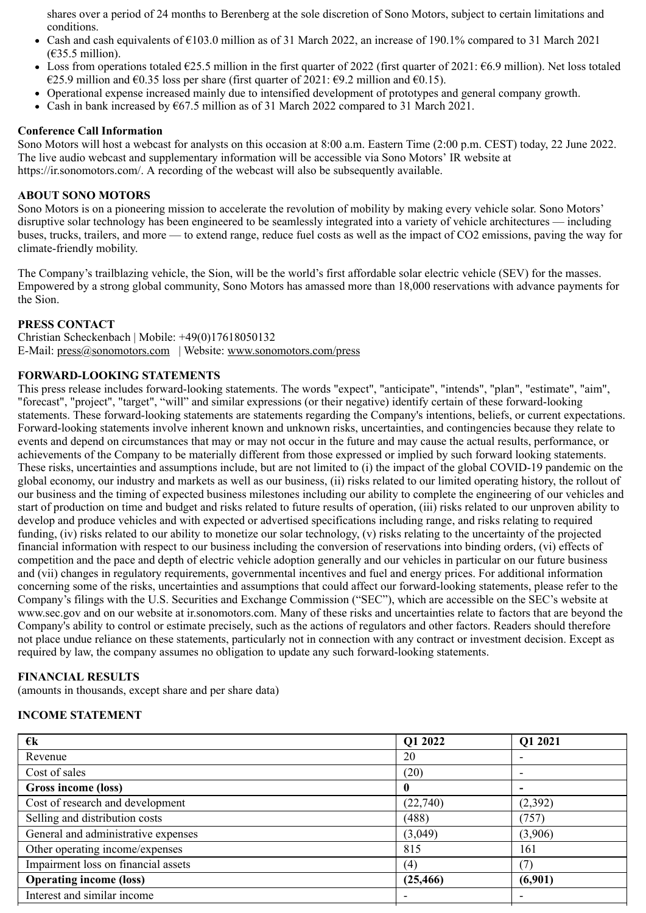shares over a period of 24 months to Berenberg at the sole discretion of Sono Motors, subject to certain limitations and conditions.

- Cash and cash equivalents of  $\epsilon$ 103.0 million as of 31 March 2022, an increase of 190.1% compared to 31 March 2021  $(635.5 \text{ million})$ .
- Loss from operations totaled  $\epsilon$ 25.5 million in the first quarter of 2022 (first quarter of 2021:  $\epsilon$ 6.9 million). Net loss totaled €25.9 million and €0.35 loss per share (first quarter of 2021: €9.2 million and €0.15).
- Operational expense increased mainly due to intensified development of prototypes and general company growth.
- Cash in bank increased by €67.5 million as of 31 March 2022 compared to 31 March 2021.

## **Conference Call Information**

Sono Motors will host a webcast for analysts on this occasion at 8:00 a.m. Eastern Time (2:00 p.m. CEST) today, 22 June 2022. The live audio webcast and supplementary information will be accessible via Sono Motors' IR website at https://ir.sonomotors.com/. A recording of the webcast will also be subsequently available.

## **ABOUT SONO MOTORS**

Sono Motors is on a pioneering mission to accelerate the revolution of mobility by making every vehicle solar. Sono Motors' disruptive solar technology has been engineered to be seamlessly integrated into a variety of vehicle architectures — including buses, trucks, trailers, and more — to extend range, reduce fuel costs as well as the impact of CO2 emissions, paving the way for climate-friendly mobility.

The Company's trailblazing vehicle, the Sion, will be the world's first affordable solar electric vehicle (SEV) for the masses. Empowered by a strong global community, Sono Motors has amassed more than 18,000 reservations with advance payments for the Sion.

## **PRESS CONTACT**

Christian Scheckenbach | Mobile: +49(0)17618050132 E-Mail: press@sonomotors.com | Website: www.sonomotors.com/press

## **FORWARD-LOOKING STATEMENTS**

This press release includes forward-looking statements. The words "expect", "anticipate", "intends", "plan", "estimate", "aim", "forecast", "project", "target", "will" and similar expressions (or their negative) identify certain of these forward-looking statements. These forward-looking statements are statements regarding the Company's intentions, beliefs, or current expectations. Forward-looking statements involve inherent known and unknown risks, uncertainties, and contingencies because they relate to events and depend on circumstances that may or may not occur in the future and may cause the actual results, performance, or achievements of the Company to be materially different from those expressed or implied by such forward looking statements. These risks, uncertainties and assumptions include, but are not limited to (i) the impact of the global COVID-19 pandemic on the global economy, our industry and markets as well as our business, (ii) risks related to our limited operating history, the rollout of our business and the timing of expected business milestones including our ability to complete the engineering of our vehicles and start of production on time and budget and risks related to future results of operation, (iii) risks related to our unproven ability to develop and produce vehicles and with expected or advertised specifications including range, and risks relating to required funding, (iv) risks related to our ability to monetize our solar technology, (v) risks relating to the uncertainty of the projected financial information with respect to our business including the conversion of reservations into binding orders, (vi) effects of competition and the pace and depth of electric vehicle adoption generally and our vehicles in particular on our future business and (vii) changes in regulatory requirements, governmental incentives and fuel and energy prices. For additional information concerning some of the risks, uncertainties and assumptions that could affect our forward-looking statements, please refer to the Company's filings with the U.S. Securities and Exchange Commission ("SEC"), which are accessible on the SEC's website at www.sec.gov and on our website at ir.sonomotors.com. Many of these risks and uncertainties relate to factors that are beyond the Company's ability to control or estimate precisely, such as the actions of regulators and other factors. Readers should therefore not place undue reliance on these statements, particularly not in connection with any contract or investment decision. Except as required by law, the company assumes no obligation to update any such forward-looking statements.

### **FINANCIAL RESULTS**

(amounts in thousands, except share and per share data)

### **INCOME STATEMENT**

| €k                                  | Q1 2022      | Q1 2021 |
|-------------------------------------|--------------|---------|
| Revenue                             | 20           |         |
| Cost of sales                       | (20)         |         |
| Gross income (loss)                 | $\mathbf{0}$ |         |
| Cost of research and development    | (22,740)     | (2,392) |
| Selling and distribution costs      | (488)        | (757)   |
| General and administrative expenses | (3,049)      | (3,906) |
| Other operating income/expenses     | 815          | 161     |
| Impairment loss on financial assets | (4)          | (7)     |
| <b>Operating income (loss)</b>      | (25, 466)    | (6,901) |
| Interest and similar income         |              |         |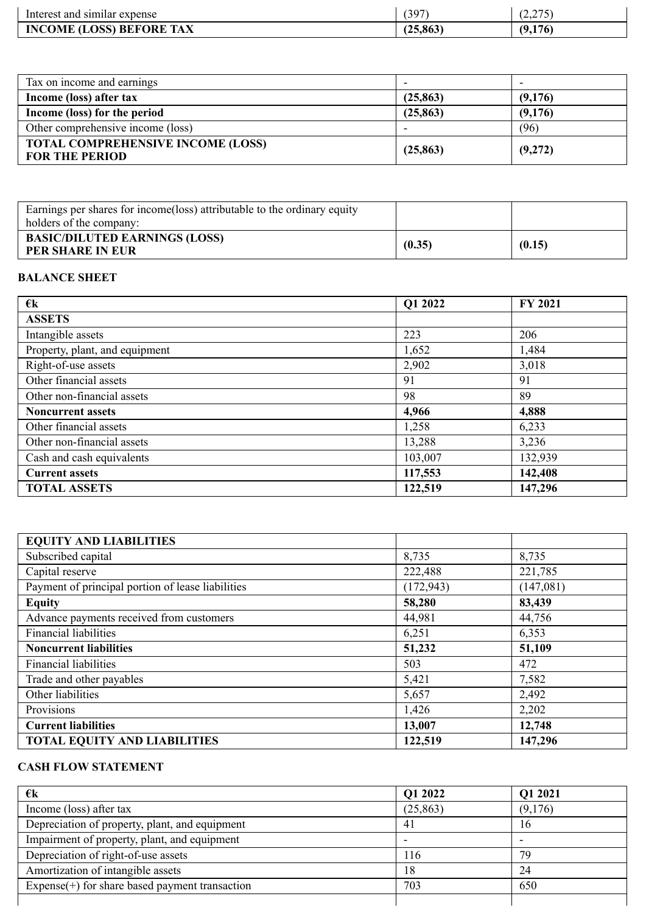| Interest and similar expense    | 397.<br>ーンノ | (0.277) |
|---------------------------------|-------------|---------|
| <b>INCOME (LOSS) BEFORE TAX</b> | (25, 863)   | (9,176) |

| Tax on income and earnings                                        | -         |         |
|-------------------------------------------------------------------|-----------|---------|
| Income (loss) after tax                                           | (25, 863) | (9,176) |
| Income (loss) for the period                                      | (25, 863) | (9,176) |
| Other comprehensive income (loss)                                 | -         | (96)    |
| <b>TOTAL COMPREHENSIVE INCOME (LOSS)</b><br><b>FOR THE PERIOD</b> | (25, 863) | (9,272) |

| Earnings per shares for income (loss) attributable to the ordinary equity<br>holders of the company: |        |        |
|------------------------------------------------------------------------------------------------------|--------|--------|
| <b>BASIC/DILUTED EARNINGS (LOSS)</b><br>PER SHARE IN EUR                                             | (0.35) | (0.15) |

## **BALANCE SHEET**

| €k                             | Q1 2022 | FY 2021 |
|--------------------------------|---------|---------|
| <b>ASSETS</b>                  |         |         |
| Intangible assets              | 223     | 206     |
| Property, plant, and equipment | 1,652   | 1,484   |
| Right-of-use assets            | 2,902   | 3,018   |
| Other financial assets         | 91      | 91      |
| Other non-financial assets     | 98      | 89      |
| <b>Noncurrent assets</b>       | 4,966   | 4,888   |
| Other financial assets         | 1,258   | 6,233   |
| Other non-financial assets     | 13,288  | 3,236   |
| Cash and cash equivalents      | 103,007 | 132,939 |
| <b>Current assets</b>          | 117,553 | 142,408 |
| <b>TOTAL ASSETS</b>            | 122,519 | 147,296 |

| <b>EQUITY AND LIABILITIES</b>                     |            |           |
|---------------------------------------------------|------------|-----------|
| Subscribed capital                                | 8,735      | 8,735     |
| Capital reserve                                   | 222,488    | 221,785   |
| Payment of principal portion of lease liabilities | (172, 943) | (147,081) |
| <b>Equity</b>                                     | 58,280     | 83,439    |
| Advance payments received from customers          | 44,981     | 44,756    |
| <b>Financial liabilities</b>                      | 6,251      | 6,353     |
| <b>Noncurrent liabilities</b>                     | 51,232     | 51,109    |
| <b>Financial liabilities</b>                      | 503        | 472       |
| Trade and other payables                          | 5,421      | 7,582     |
| Other liabilities                                 | 5,657      | 2,492     |
| Provisions                                        | 1,426      | 2,202     |
| <b>Current liabilities</b>                        | 13,007     | 12,748    |
| <b>TOTAL EQUITY AND LIABILITIES</b>               | 122,519    | 147,296   |

## **CASH FLOW STATEMENT**

| €k                                               | Q1 2022   | Q1 2021 |
|--------------------------------------------------|-----------|---------|
| Income (loss) after tax                          | (25, 863) | (9,176) |
| Depreciation of property, plant, and equipment   | 41        | 16      |
| Impairment of property, plant, and equipment     | -         | -       |
| Depreciation of right-of-use assets              | 116       | 79      |
| Amortization of intangible assets                | 18        | 24      |
| $Expense(+)$ for share based payment transaction | 703       | 650     |
|                                                  |           |         |